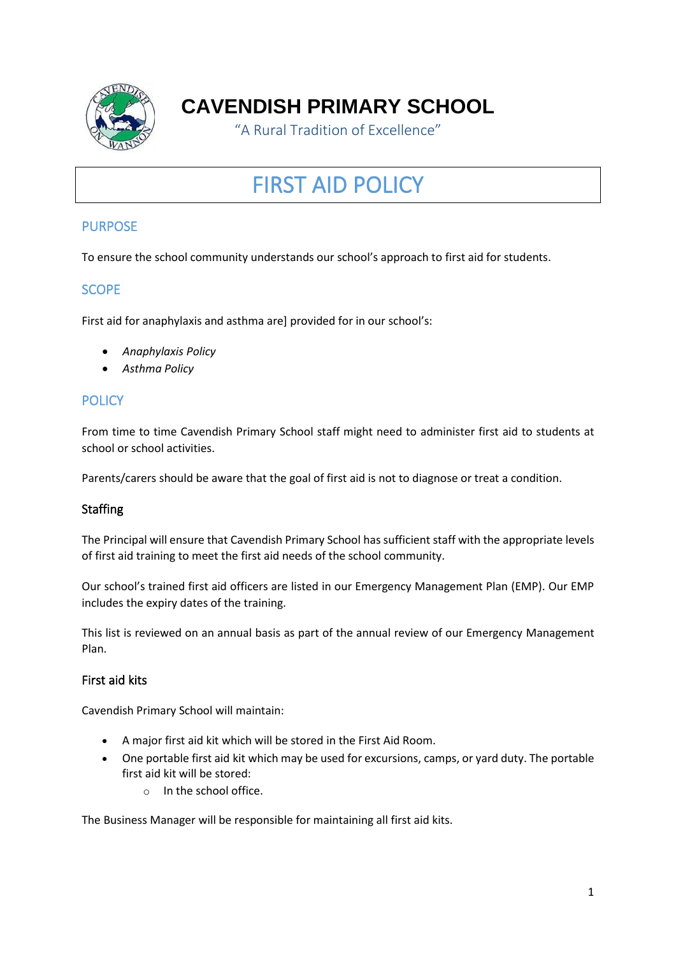

# **CAVENDISH PRIMARY SCHOOL**

"A Rural Tradition of Excellence"

# FIRST AID POLICY

# **PURPOSE**

To ensure the school community understands our school's approach to first aid for students.

# **SCOPE**

First aid for anaphylaxis and asthma are] provided for in our school's:

- *Anaphylaxis Policy*
- *Asthma Policy*

# **POLICY**

From time to time Cavendish Primary School staff might need to administer first aid to students at school or school activities.

Parents/carers should be aware that the goal of first aid is not to diagnose or treat a condition.

### **Staffing**

The Principal will ensure that Cavendish Primary School has sufficient staff with the appropriate levels of first aid training to meet the first aid needs of the school community.

Our school's trained first aid officers are listed in our Emergency Management Plan (EMP). Our EMP includes the expiry dates of the training.

This list is reviewed on an annual basis as part of the annual review of our Emergency Management Plan.

### First aid kits

Cavendish Primary School will maintain:

- A major first aid kit which will be stored in the First Aid Room.
- One portable first aid kit which may be used for excursions, camps, or yard duty. The portable first aid kit will be stored:
	- o In the school office.

The Business Manager will be responsible for maintaining all first aid kits.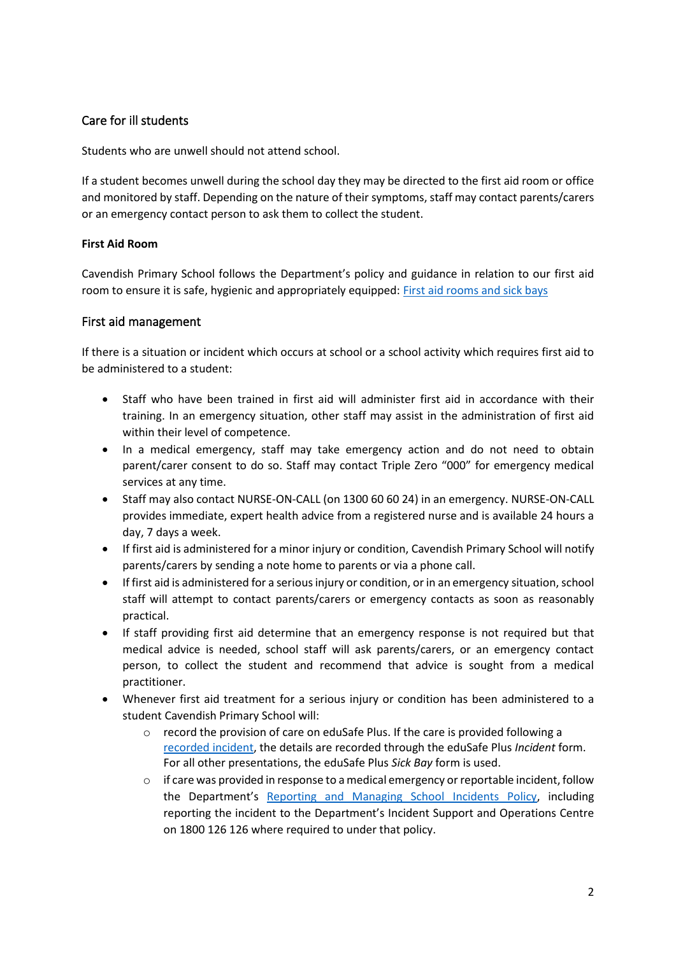## Care for ill students

Students who are unwell should not attend school.

If a student becomes unwell during the school day they may be directed to the first aid room or office and monitored by staff. Depending on the nature of their symptoms, staff may contact parents/carers or an emergency contact person to ask them to collect the student.

#### **First Aid Room**

Cavendish Primary School follows the Department's policy and guidance in relation to our first aid room to ensure it is safe, hygienic and appropriately equipped: [First aid rooms and sick bays](https://www2.education.vic.gov.au/pal/first-aid-students-and-staff/guidance/first-aid-rooms-and-sick-bays)

#### First aid management

If there is a situation or incident which occurs at school or a school activity which requires first aid to be administered to a student:

- Staff who have been trained in first aid will administer first aid in accordance with their training. In an emergency situation, other staff may assist in the administration of first aid within their level of competence.
- In a medical emergency, staff may take emergency action and do not need to obtain parent/carer consent to do so. Staff may contact Triple Zero "000" for emergency medical services at any time.
- Staff may also contact NURSE-ON-CALL (on 1300 60 60 24) in an emergency. NURSE-ON-CALL provides immediate, expert health advice from a registered nurse and is available 24 hours a day, 7 days a week.
- If first aid is administered for a minor injury or condition, Cavendish Primary School will notify parents/carers by sending a note home to parents or via a phone call.
- If first aid is administered for a serious injury or condition, or in an emergency situation, school staff will attempt to contact parents/carers or emergency contacts as soon as reasonably practical.
- If staff providing first aid determine that an emergency response is not required but that medical advice is needed, school staff will ask parents/carers, or an emergency contact person, to collect the student and recommend that advice is sought from a medical practitioner.
- Whenever first aid treatment for a serious injury or condition has been administered to a student Cavendish Primary School will:
	- $\circ$  record the provision of care on eduSafe Plus. If the care is provided following a [recorded incident,](https://www2.education.vic.gov.au/pal/reporting-and-managing-school-incidents-including-emergencies/policy) the details are recorded through the eduSafe Plus *Incident* form. For all other presentations, the eduSafe Plus *Sick Bay* form is used.
	- $\circ$  if care was provided in response to a medical emergency or reportable incident, follow the Department's [Reporting and Managing School](https://www2.education.vic.gov.au/pal/reporting-and-managing-school-incidents-including-emergencies/policy) Incidents Policy, including reporting the incident to the Department's Incident Support and Operations Centre on 1800 126 126 where required to under that policy.